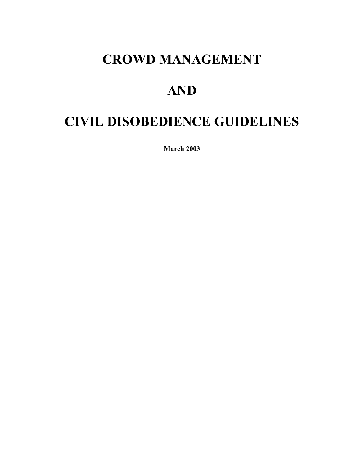# **CROWD MANAGEMENT**

# **AND**

# **CIVIL DISOBEDIENCE GUIDELINES**

**March 2003**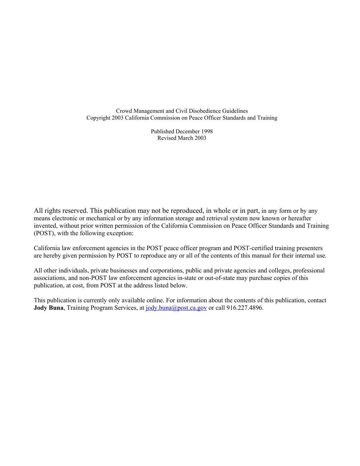Crowd Management and Civil Disobedience Guidelines Copyright 2003 California Commission on Peace Officer Standards and Training

> Published December 1998 Revised March 2003

All rights reserved. This publication may not be reproduced, in whole or in part, in any form or by any means electronic or mechanical or by any information storage and retrieval system now known or hereafter invented, without prior written permission of the California Commission on Peace Officer Standards and Training (POST), with the following exception:

California law enforcement agencies in the POST peace officer program and POST-certified training presenters are hereby given permission by POST to reproduce any or all of the contents of this manual for their internal use*.* 

All other individuals, private businesses and corporations, public and private agencies and colleges, professional associations, and non-POST law enforcement agencies in-state or out-of-state may purchase copies of this publication, at cost, from POST at the address listed below.

This publication is currently only available online. For information about the contents of this publication, contact **Jody Buna**, Training Program Services, at [jody.buna@post.ca.gov](mailto:jody.buna@post.ca.gov) or call 916.227.4896.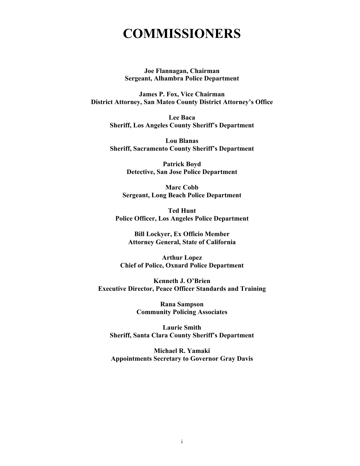# **COMMISSIONERS**

**Joe Flannagan, Chairman Sergeant, Alhambra Police Department** 

**James P. Fox, Vice Chairman District Attorney, San Mateo County District Attorney's Office** 

> **Lee Baca Sheriff, Los Angeles County Sheriff's Department**

> **Lou Blanas Sheriff, Sacramento County Sheriff's Department**

> > **Patrick Boyd Detective, San Jose Police Department**

**Marc Cobb Sergeant, Long Beach Police Department** 

**Ted Hunt Police Officer, Los Angeles Police Department** 

**Bill Lockyer, Ex Officio Member Attorney General, State of California** 

**Arthur Lopez Chief of Police, Oxnard Police Department** 

**Kenneth J. O'Brien Executive Director, Peace Officer Standards and Training** 

> **Rana Sampson Community Policing Associates**

**Laurie Smith Sheriff, Santa Clara County Sheriff's Department** 

**Michael R. Yamaki Appointments Secretary to Governor Gray Davis**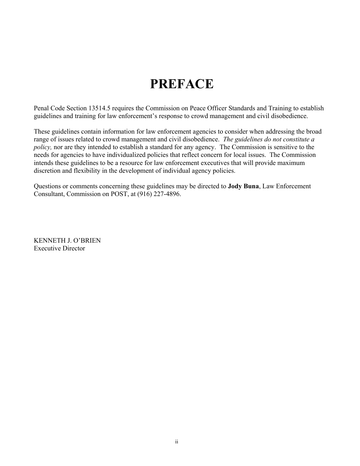# **PREFACE**

Penal Code Section 13514.5 requires the Commission on Peace Officer Standards and Training to establish guidelines and training for law enforcement's response to crowd management and civil disobedience.

These guidelines contain information for law enforcement agencies to consider when addressing the broad range of issues related to crowd management and civil disobedience. *The guidelines do not constitute a policy,* nor are they intended to establish a standard for any agency. The Commission is sensitive to the needs for agencies to have individualized policies that reflect concern for local issues. The Commission intends these guidelines to be a resource for law enforcement executives that will provide maximum discretion and flexibility in the development of individual agency policies.

Questions or comments concerning these guidelines may be directed to **Jody Buna**, Law Enforcement Consultant, Commission on POST, at (916) 227-4896.

KENNETH J. O'BRIEN Executive Director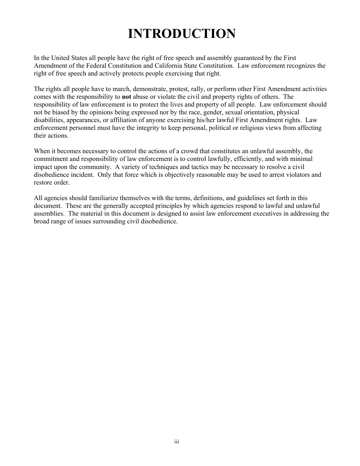# **INTRODUCTION**

In the United States all people have the right of free speech and assembly guaranteed by the First Amendment of the Federal Constitution and California State Constitution. Law enforcement recognizes the right of free speech and actively protects people exercising that right.

The rights all people have to march, demonstrate, protest, rally, or perform other First Amendment activities comes with the responsibility to **not** abuse or violate the civil and property rights of others. The responsibility of law enforcement is to protect the lives and property of all people. Law enforcement should not be biased by the opinions being expressed nor by the race, gender, sexual orientation, physical disabilities, appearances, or affiliation of anyone exercising his/her lawful First Amendment rights. Law enforcement personnel must have the integrity to keep personal, political or religious views from affecting their actions.

When it becomes necessary to control the actions of a crowd that constitutes an unlawful assembly, the commitment and responsibility of law enforcement is to control lawfully, efficiently, and with minimal impact upon the community. A variety of techniques and tactics may be necessary to resolve a civil disobedience incident. Only that force which is objectively reasonable may be used to arrest violators and restore order.

All agencies should familiarize themselves with the terms, definitions, and guidelines set forth in this document. These are the generally accepted principles by which agencies respond to lawful and unlawful assemblies. The material in this document is designed to assist law enforcement executives in addressing the broad range of issues surrounding civil disobedience.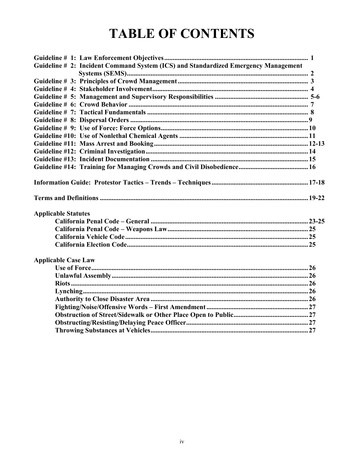# **TABLE OF CONTENTS**

| Guideline # 2: Incident Command System (ICS) and Standardized Emergency Management |  |
|------------------------------------------------------------------------------------|--|
|                                                                                    |  |
|                                                                                    |  |
|                                                                                    |  |
|                                                                                    |  |
|                                                                                    |  |
|                                                                                    |  |
|                                                                                    |  |
|                                                                                    |  |
|                                                                                    |  |
|                                                                                    |  |
|                                                                                    |  |
|                                                                                    |  |
|                                                                                    |  |
|                                                                                    |  |
|                                                                                    |  |
| <b>Applicable Statutes</b>                                                         |  |
|                                                                                    |  |
|                                                                                    |  |
|                                                                                    |  |
|                                                                                    |  |
| <b>Applicable Case Law</b>                                                         |  |
|                                                                                    |  |
|                                                                                    |  |
|                                                                                    |  |
|                                                                                    |  |
|                                                                                    |  |
|                                                                                    |  |
|                                                                                    |  |
|                                                                                    |  |
|                                                                                    |  |
|                                                                                    |  |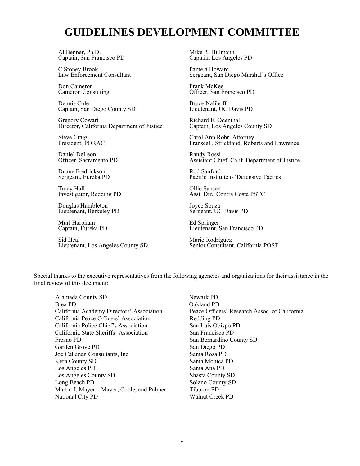# **GUIDELINES DEVELOPMENT COMMITTEE**

Al Benner, Ph.D. Captain, San Francisco PD

C.Stoney Brook Law Enforcement Consultant

Don Cameron Cameron Consulting

Dennis Cole Captain, San Diego County SD

Gregory Cowart Director, California Department of Justice

Steve Craig President, PORAC

Daniel DeLeon Officer, Sacramento PD

Duane Fredrickson Sergeant, Eureka PD

Tracy Hall Investigator, Redding PD

Douglas Hambleton Lieutenant, Berkeley PD

Murl Harpham Captain, Eureka PD

Sid Heal Lieutenant, Los Angeles County SD

Mike R. Hillmann Captain, Los Angeles PD

Pamela Howard Sergeant, San Diego Marshal's Office

Frank McKee Officer, San Francisco PD

Bruce Naliboff Lieutenant, UC Davis PD

Richard E. Odenthal Captain, Los Angeles County SD

Carol Ann Rohr, Attorney Franscell, Strickland, Roberts and Lawrence

Randy Rossi Assistant Chief, Calif. Department of Justice

Rod Sanford Pacific Institute of Defensive Tactics

Ollie Sansen Asst. Dir., Contra Costa PSTC

Joyce Souza Sergeant, UC Davis PD

Ed Springer Lieutenant, San Francisco PD

Mario Rodriguez Senior Consultant, California POST

Special thanks to the executive representatives from the following agencies and organizations for their assistance in the final review of this document:

Alameda County SD Newark PD Brea PD Qakland PD California Peace Officers' Association Redding PD California Police Chief's Association San Luis Obispo PD California State Sheriffs' Association San Francisco PD Fresno PD San Bernardino County SD Garden Grove PD San Diego PD Joe Callanan Consultants, Inc. Santa Rosa PD Kern County SD Santa Monica PD Los Angeles PD Santa Ana PD Los Angeles County SD Shasta County SD Long Beach PD Solano County SD Martin J. Mayer – Mayer, Coble, and Palmer Tiburon PD National City PD Walnut Creek PD

California Academy Directors' Association Peace Officers' Research Assoc. of California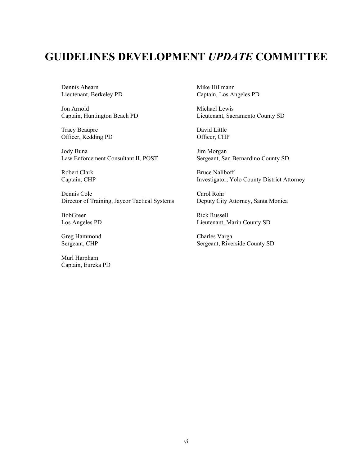# **GUIDELINES DEVELOPMENT** *UPDATE* **COMMITTEE**

Dennis Ahearn Lieutenant, Berkeley PD

Jon Arnold Captain, Huntington Beach PD

Tracy Beaupre Officer, Redding PD

Jody Buna Law Enforcement Consultant II, POST

Robert Clark Captain, CHP

Dennis Cole Director of Training, Jaycor Tactical Systems

BobGreen Los Angeles PD

Greg Hammond Sergeant, CHP

Murl Harpham Captain, Eureka PD

Mike Hillmann Captain, Los Angeles PD

Michael Lewis Lieutenant, Sacramento County SD

David Little Officer, CHP

Jim Morgan Sergeant, San Bernardino County SD

Bruce Naliboff Investigator, Yolo County District Attorney

Carol Rohr Deputy City Attorney, Santa Monica

Rick Russell Lieutenant, Marin County SD

Charles Varga Sergeant, Riverside County SD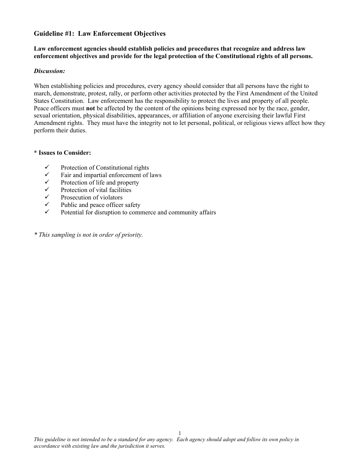#### **Guideline #1: Law Enforcement Objectives**

#### **Law enforcement agencies should establish policies and procedures that recognize and address law enforcement objectives and provide for the legal protection of the Constitutional rights of all persons.**

#### *Discussion:*

When establishing policies and procedures, every agency should consider that all persons have the right to march, demonstrate, protest, rally, or perform other activities protected by the First Amendment of the United States Constitution. Law enforcement has the responsibility to protect the lives and property of all people. Peace officers must **not** be affected by the content of the opinions being expressed nor by the race, gender, sexual orientation, physical disabilities, appearances, or affiliation of anyone exercising their lawful First Amendment rights. They must have the integrity not to let personal, political, or religious views affect how they perform their duties.

#### **\* Issues to Consider:**

- $\checkmark$  Protection of Constitutional rights
- $\checkmark$  Fair and impartial enforcement of laws
- $\checkmark$  Protection of life and property
- $\checkmark$  Protection of vital facilities<br> $\checkmark$  Prosecution of violators
- $\checkmark$  Prosecution of violators<br> $\checkmark$  Public and neace officer
- $\checkmark$  Public and peace officer safety<br> $\checkmark$  Potential for discupsion to comp
- Potential for disruption to commerce and community affairs

*\* This sampling is not in order of priority.*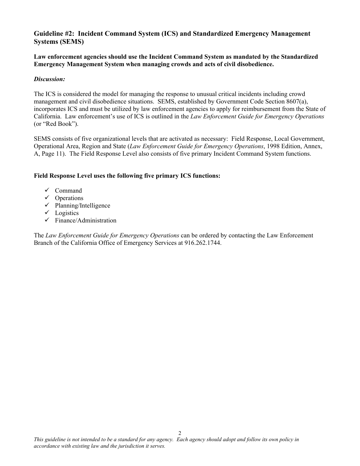### **Guideline #2: Incident Command System (ICS) and Standardized Emergency Management Systems (SEMS)**

**Law enforcement agencies should use the Incident Command System as mandated by the Standardized Emergency Management System when managing crowds and acts of civil disobedience.** 

#### *Discussion:*

The ICS is considered the model for managing the response to unusual critical incidents including crowd management and civil disobedience situations. SEMS, established by Government Code Section 8607(a), incorporates ICS and must be utilized by law enforcement agencies to apply for reimbursement from the State of California. Law enforcement's use of ICS is outlined in the *Law Enforcement Guide for Emergency Operations* (or "Red Book").

SEMS consists of five organizational levels that are activated as necessary: Field Response, Local Government, Operational Area, Region and State (*Law Enforcement Guide for Emergency Operations*, 1998 Edition, Annex, A, Page 11). The Field Response Level also consists of five primary Incident Command System functions.

#### **Field Response Level uses the following five primary ICS functions:**

- $\checkmark$  Command
- $\checkmark$  Operations
- $\checkmark$  Planning/Intelligence
- $\checkmark$  Logistics
- $\checkmark$  Finance/Administration

The *Law Enforcement Guide for Emergency Operations* can be ordered by contacting the Law Enforcement Branch of the California Office of Emergency Services at 916.262.1744.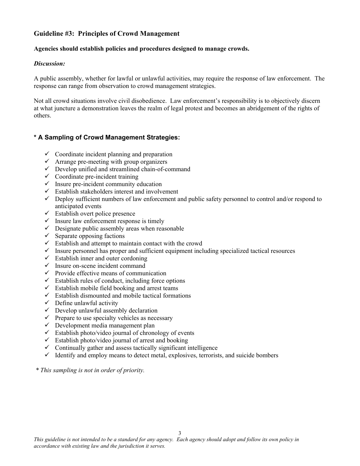#### **Guideline #3: Principles of Crowd Management**

#### **Agencies should establish policies and procedures designed to manage crowds.**

#### *Discussion:*

A public assembly, whether for lawful or unlawful activities, may require the response of law enforcement. The response can range from observation to crowd management strategies.

Not all crowd situations involve civil disobedience. Law enforcement's responsibility is to objectively discern at what juncture a demonstration leaves the realm of legal protest and becomes an abridgement of the rights of others.

#### **\* A Sampling of Crowd Management Strategies:**

- $\checkmark$  Coordinate incident planning and preparation
- $\checkmark$  Arrange pre-meeting with group organizers
- $\checkmark$  Develop unified and streamlined chain-of-command
- $\checkmark$  Coordinate pre-incident training
- $\checkmark$  Insure pre-incident community education
- $\checkmark$  Establish stakeholders interest and involvement
- $\checkmark$  Deploy sufficient numbers of law enforcement and public safety personnel to control and/or respond to anticipated events
- $\checkmark$  Establish overt police presence
- $\checkmark$  Insure law enforcement response is timely
- $\checkmark$  Designate public assembly areas when reasonable
- $\checkmark$  Separate opposing factions
- $\checkmark$  Establish and attempt to maintain contact with the crowd
- $\checkmark$  Insure personnel has proper and sufficient equipment including specialized tactical resources
- $\checkmark$  Establish inner and outer cordoning
- $\checkmark$  Insure on-scene incident command
- $\checkmark$  Provide effective means of communication
- $\checkmark$  Establish rules of conduct, including force options
- $\checkmark$  Establish mobile field booking and arrest teams
- $\checkmark$  Establish dismounted and mobile tactical formations
- $\checkmark$  Define unlawful activity
- $\checkmark$  Develop unlawful assembly declaration
- $\checkmark$  Prepare to use specialty vehicles as necessary
- $\checkmark$  Development media management plan
- $\checkmark$  Establish photo/video journal of chronology of events
- $\checkmark$  Establish photo/video journal of arrest and booking
- $\checkmark$  Continually gather and assess tactically significant intelligence
- $\checkmark$  Identify and employ means to detect metal, explosives, terrorists, and suicide bombers

*\* This sampling is not in order of priority.*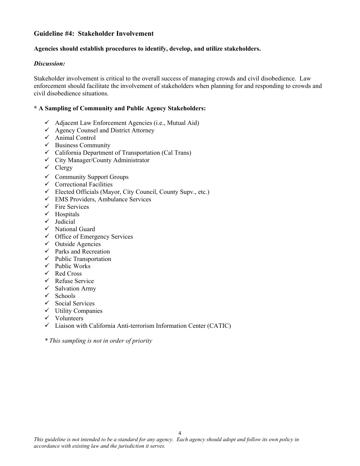#### **Guideline #4: Stakeholder Involvement**

#### **Agencies should establish procedures to identify, develop, and utilize stakeholders.**

#### *Discussion:*

Stakeholder involvement is critical to the overall success of managing crowds and civil disobedience. Law enforcement should facilitate the involvement of stakeholders when planning for and responding to crowds and civil disobedience situations.

#### **\* A Sampling of Community and Public Agency Stakeholders:**

- $\checkmark$  Adjacent Law Enforcement Agencies (i.e., Mutual Aid)
- $\checkmark$  Agency Counsel and District Attorney
- $\checkmark$  Animal Control
- $\checkmark$  Business Community
- $\checkmark$  California Department of Transportation (Cal Trans)
- $\checkmark$  City Manager/County Administrator
- $\checkmark$  Clergy
- $\checkmark$  Community Support Groups
- $\checkmark$  Correctional Facilities
- $\checkmark$  Elected Officials (Mayor, City Council, County Supv., etc.)
- $\checkmark$  EMS Providers, Ambulance Services
- $\checkmark$  Fire Services
- $\checkmark$  Hospitals
- $\checkmark$  Judicial
- $\checkmark$  National Guard
- $\checkmark$  Office of Emergency Services
- $\checkmark$  Outside Agencies
- $\checkmark$  Parks and Recreation
- $\checkmark$  Public Transportation
- $\checkmark$  Public Works
- $\checkmark$  Red Cross
- $\checkmark$  Refuse Service
- $\checkmark$  Salvation Army
- $\checkmark$  Schools
- $\checkmark$  Social Services
- $\checkmark$  Utility Companies
- $\checkmark$  Volunteers
- $\checkmark$  Liaison with California Anti-terrorism Information Center (CATIC)

*\* This sampling is not in order of priority*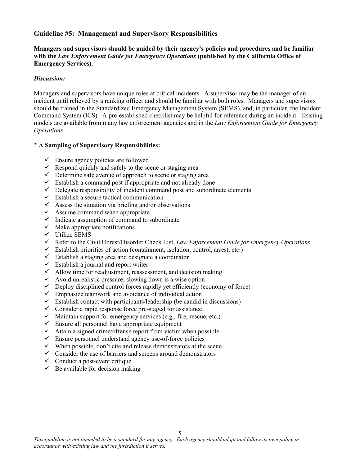#### **Guideline #5: Management and Supervisory Responsibilities**

**Managers and supervisors should be guided by their agency's policies and procedures and be familiar with the** *Law Enforcement Guide for Emergency Operations* **(published by the California Office of Emergency Services).**

#### *Discussion:*

Managers and supervisors have unique roles at critical incidents. A supervisor may be the manager of an incident until relieved by a ranking officer and should be familiar with both roles. Managers and supervisors should be trained in the Standardized Emergency Management System (SEMS), and, in particular, the Incident Command System (ICS). A pre-established checklist may be helpful for reference during an incident. Existing models are available from many law enforcement agencies and in the *Law Enforcement Guide for Emergency Operations*.

#### **\* A Sampling of Supervisory Responsibilities:**

- $\checkmark$  Ensure agency policies are followed
- $\checkmark$  Respond quickly and safely to the scene or staging area
- $\checkmark$  Determine safe avenue of approach to scene or staging area
- $\checkmark$  Establish a command post if appropriate and not already done
- $\checkmark$  Delegate responsibility of incident command post and subordinate elements
- $\checkmark$  Establish a secure tactical communication
- $\checkmark$  Assess the situation via briefing and/or observations
- $\checkmark$  Assume command when appropriate
- $\checkmark$  Indicate assumption of command to subordinate
- $\checkmark$  Make appropriate notifications
- $\checkmark$  Utilize SEMS
- 9 Refer to the Civil Unrest/Disorder Check List, *Law Enforcement Guide for Emergency Operations*
- $\checkmark$  Establish priorities of action (containment, isolation, control, arrest, etc.)
- $\checkmark$  Establish a staging area and designate a coordinator
- $\checkmark$  Establish a journal and report writer
- $\checkmark$  Allow time for readjustment, reassessment, and decision making
- $\checkmark$  Avoid unrealistic pressure; slowing down is a wise option
- $\checkmark$  Deploy disciplined control forces rapidly yet efficiently (economy of force)
- $\checkmark$  Emphasize teamwork and avoidance of individual action
- $\checkmark$  Establish contact with participants/leadership (be candid in discussions)
- $\checkmark$  Consider a rapid response force pre-staged for assistance
- $\checkmark$  Maintain support for emergency services (e.g., fire, rescue, etc.)
- $\checkmark$  Ensure all personnel have appropriate equipment
- $\checkmark$  Attain a signed crime/offense report from victim when possible
- $\checkmark$  Ensure personnel understand agency use-of-force policies
- $\checkmark$  When possible, don't cite and release demonstrators at the scene
- $\checkmark$  Consider the use of barriers and screens around demonstrators
- $\checkmark$  Conduct a post-event critique
- $\checkmark$  Be available for decision making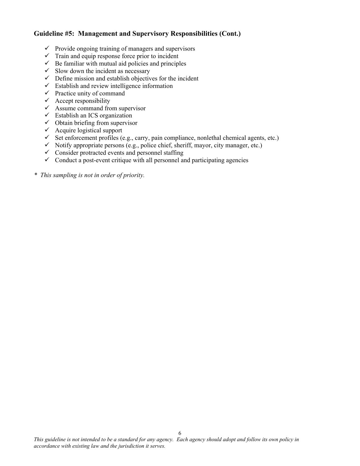### **Guideline #5: Management and Supervisory Responsibilities (Cont.)**

- $\checkmark$  Provide ongoing training of managers and supervisors
- $\checkmark$  Train and equip response force prior to incident
- $\checkmark$  Be familiar with mutual aid policies and principles
- $\checkmark$  Slow down the incident as necessary
- $\checkmark$  Define mission and establish objectives for the incident
- $\checkmark$  Establish and review intelligence information
- $\checkmark$  Practice unity of command
- $\checkmark$  Accept responsibility
- $\checkmark$  Assume command from supervisor
- $\checkmark$  Establish an ICS organization
- $\checkmark$  Obtain briefing from supervisor
- $\checkmark$  Acquire logistical support
- $\checkmark$  Set enforcement profiles (e.g., carry, pain compliance, nonlethal chemical agents, etc.)
- $\checkmark$  Notify appropriate persons (e.g., police chief, sheriff, mayor, city manager, etc.)
- $\checkmark$  Consider protracted events and personnel staffing
- $\checkmark$  Conduct a post-event critique with all personnel and participating agencies
- *\* This sampling is not in order of priority.*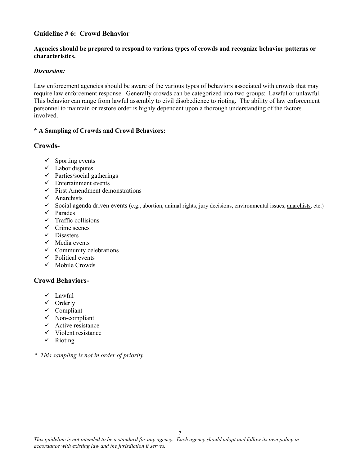### **Guideline # 6: Crowd Behavior**

#### **Agencies should be prepared to respond to various types of crowds and recognize behavior patterns or characteristics.**

#### *Discussion:*

Law enforcement agencies should be aware of the various types of behaviors associated with crowds that may require law enforcement response.Generally crowds can be categorized into two groups: Lawful or unlawful. This behavior can range from lawful assembly to civil disobedience to rioting. The ability of law enforcement personnel to maintain or restore order is highly dependent upon a thorough understanding of the factors involved.

#### **\* A Sampling of Crowds and Crowd Behaviors:**

#### **Crowds-**

- $\checkmark$  Sporting events
- $\checkmark$  Labor disputes
- $\checkmark$  Parties/social gatherings
- $\checkmark$  Entertainment events
- $\checkmark$  First Amendment demonstrations
- $\checkmark$  Anarchists
- $\checkmark$  Social agenda driven events (e.g., abortion, animal rights, jury decisions, environmental issues, anarchists, etc.)
- $\checkmark$  Parades
- $\checkmark$  Traffic collisions
- $\checkmark$  Crime scenes
- $\checkmark$  Disasters
- $\checkmark$  Media events
- $\checkmark$  Community celebrations
- $\checkmark$  Political events
- $\checkmark$  Mobile Crowds

#### **Crowd Behaviors-**

- $\checkmark$  Lawful
- $\checkmark$  Orderly
- $\checkmark$  Compliant
- $\checkmark$  Non-compliant
- $\checkmark$  Active resistance
- $\checkmark$  Violent resistance
- $\checkmark$  Rioting
- *\* This sampling is not in order of priority.*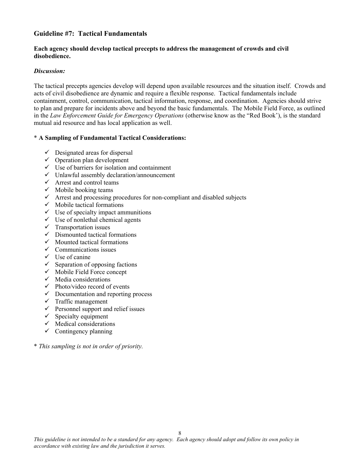#### **Guideline #7: Tactical Fundamentals**

#### **Each agency should develop tactical precepts to address the management of crowds and civil disobedience.**

#### *Discussion:*

The tactical precepts agencies develop will depend upon available resources and the situation itself. Crowds and acts of civil disobedience are dynamic and require a flexible response. Tactical fundamentals include containment, control, communication, tactical information, response, and coordination. Agencies should strive to plan and prepare for incidents above and beyond the basic fundamentals. The Mobile Field Force, as outlined in the *Law Enforcement Guide for Emergency Operations* (otherwise know as the "Red Book'), is the standard mutual aid resource and has local application as well.

#### \* **A Sampling of Fundamental Tactical Considerations:**

- $\checkmark$  Designated areas for dispersal
- $\checkmark$  Operation plan development
- $\checkmark$  Use of barriers for isolation and containment
- $\checkmark$  Unlawful assembly declaration/announcement
- $\checkmark$  Arrest and control teams
- $\checkmark$  Mobile booking teams
- $\checkmark$  Arrest and processing procedures for non-compliant and disabled subjects
- $\checkmark$  Mobile tactical formations
- $\checkmark$  Use of specialty impact ammunitions
- $\checkmark$  Use of nonlethal chemical agents
- $\checkmark$  Transportation issues
- $\checkmark$  Dismounted tactical formations
- $\checkmark$  Mounted tactical formations
- $\checkmark$  Communications issues
- $\checkmark$  Use of canine
- $\checkmark$  Separation of opposing factions
- $\checkmark$  Mobile Field Force concept
- $\checkmark$  Media considerations
- $\checkmark$  Photo/video record of events
- $\checkmark$  Documentation and reporting process
- $\checkmark$  Traffic management
- $\checkmark$  Personnel support and relief issues
- $\checkmark$  Specialty equipment
- $\checkmark$  Medical considerations
- $\checkmark$  Contingency planning
- \* *This sampling is not in order of priority.*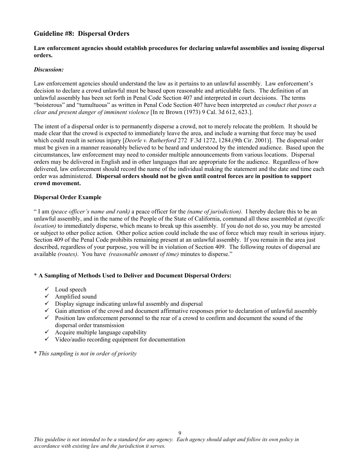#### **Guideline #8: Dispersal Orders**

#### **Law enforcement agencies should establish procedures for declaring unlawful assemblies and issuing dispersal orders.**

#### *Discussion:*

Law enforcement agencies should understand the law as it pertains to an unlawful assembly. Law enforcement's decision to declare a crowd unlawful must be based upon reasonable and articulable facts. The definition of an unlawful assembly has been set forth in Penal Code Section 407 and interpreted in court decisions. The terms "boisterous" and "tumultuous" as written in Penal Code Section 407 have been interpreted *as conduct that poses a clear and present danger of imminent violence* [In re Brown (1973) 9 Cal. 3d 612, 623.].

The intent of a dispersal order is to permanently disperse a crowd, not to merely relocate the problem. It should be made clear that the crowd is expected to immediately leave the area, and include a warning that force may be used which could result in serious injury [*Deorle v. Rutherford* 272 F.3d 1272, 1284.(9th Cir. 2001)]. The dispersal order must be given in a manner reasonably believed to be heard and understood by the intended audience. Based upon the circumstances, law enforcement may need to consider multiple announcements from various locations. Dispersal orders may be delivered in English and in other languages that are appropriate for the audience. Regardless of how delivered, law enforcement should record the name of the individual making the statement and the date and time each order was administered. **Dispersal orders should not be given until control forces are in position to support crowd movement.** 

#### **Dispersal Order Example**

" I am *(peace officer's name and rank)* a peace officer for the *(name of jurisdiction)*. I hereby declare this to be an unlawful assembly, and in the name of the People of the State of California, command all those assembled at *(specific location*) to immediately disperse, which means to break up this assembly. If you do not do so, you may be arrested or subject to other police action. Other police action could include the use of force which may result in serious injury. Section 409 of the Penal Code prohibits remaining present at an unlawful assembly. If you remain in the area just described, regardless of your purpose, you will be in violation of Section 409. The following routes of dispersal are available *(routes)*. You have *(reasonable amount of time)* minutes to disperse."

#### \* **A Sampling of Methods Used to Deliver and Document Dispersal Orders:**

- $\checkmark$  Loud speech
- $\checkmark$  Amplified sound
- $\checkmark$  Display signage indicating unlawful assembly and dispersal
- $\checkmark$  Gain attention of the crowd and document affirmative responses prior to declaration of unlawful assembly
- $\checkmark$  Position law enforcement personnel to the rear of a crowd to confirm and document the sound of the dispersal order transmission
- $\checkmark$  Acquire multiple language capability
- $\checkmark$  Video/audio recording equipment for documentation
- \* *This sampling is not in order of priority*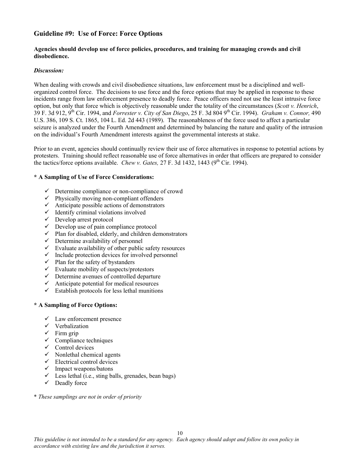#### **Guideline #9: Use of Force: Force Options**

#### **Agencies should develop use of force policies, procedures, and training for managing crowds and civil disobedience.**

#### *Discussion:*

When dealing with crowds and civil disobedience situations, law enforcement must be a disciplined and wellorganized control force. The decisions to use force and the force options that may be applied in response to these incidents range from law enforcement presence to deadly force. Peace officers need not use the least intrusive force option, but only that force which is objectively reasonable under the totality of the circumstances (*Scott v. Henrich*, 39 F. 3d 912, 9th Cir. 1994, and *Forrester v. City of San Diego*, 25 F. 3d 804 9th Cir. 1994). *Graham v. Connor,* 490 U.S. 386, 109 S. Ct. 1865, 104 L. Ed. 2d 443 (1989). The reasonableness of the force used to affect a particular seizure is analyzed under the Fourth Amendment and determined by balancing the nature and quality of the intrusion on the individual's Fourth Amendment interests against the governmental interests at stake.

Prior to an event, agencies should continually review their use of force alternatives in response to potential actions by protesters. Training should reflect reasonable use of force alternatives in order that officers are prepared to consider the tactics/force options available. *Chew v. Gates,*  $27 \text{ F}$ . 3d  $1432$ ,  $1443$  ( $9^{\text{th}}$  Cir. 1994).

#### **\* A Sampling of Use of Force Considerations:**

- $\checkmark$  Determine compliance or non-compliance of crowd
- $\checkmark$  Physically moving non-compliant offenders
- $\checkmark$  Anticipate possible actions of demonstrators
- $\checkmark$  Identify criminal violations involved
- $\checkmark$  Develop arrest protocol
- $\checkmark$  Develop use of pain compliance protocol
- $\checkmark$  Plan for disabled, elderly, and children demonstrators
- $\checkmark$  Determine availability of personnel
- $\checkmark$  Evaluate availability of other public safety resources
- $\checkmark$  Include protection devices for involved personnel
- $\checkmark$  Plan for the safety of bystanders
- $\checkmark$  Evaluate mobility of suspects/protestors
- $\checkmark$  Determine avenues of controlled departure
- $\checkmark$  Anticipate potential for medical resources
- $\checkmark$  Establish protocols for less lethal munitions

#### **\* A Sampling of Force Options:**

- $\checkmark$  Law enforcement presence
- $\checkmark$  Verbalization
- $\checkmark$  Firm grip
- $\checkmark$  Compliance techniques
- $\checkmark$  Control devices
- $\checkmark$  Nonlethal chemical agents
- $\checkmark$  Electrical control devices
- $\checkmark$  Impact weapons/batons
- $\checkmark$  Less lethal (i.e., sting balls, grenades, bean bags)
- $\checkmark$  Deadly force
- \* *These samplings are not in order of priority*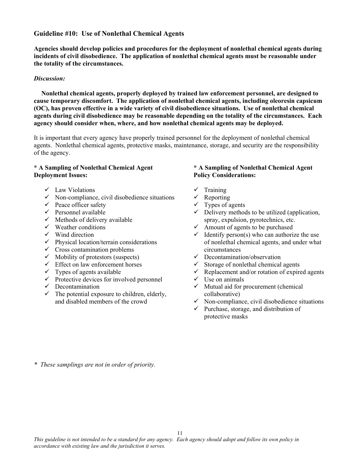#### **Guideline #10: Use of Nonlethal Chemical Agents**

**Agencies should develop policies and procedures for the deployment of nonlethal chemical agents during incidents of civil disobedience. The application of nonlethal chemical agents must be reasonable under the totality of the circumstances.** 

#### *Discussion:*

**Nonlethal chemical agents, properly deployed by trained law enforcement personnel, are designed to cause temporary discomfort. The application of nonlethal chemical agents, including oleoresin capsicum (OC), has proven effective in a wide variety of civil disobedience situations. Use of nonlethal chemical agents during civil disobedience may be reasonable depending on the totality of the circumstances. Each agency should consider when, where, and how nonlethal chemical agents may be deployed.** 

It is important that every agency have properly trained personnel for the deployment of nonlethal chemical agents. Nonlethal chemical agents, protective masks, maintenance, storage, and security are the responsibility of the agency.

#### **\* A Sampling of Nonlethal Chemical Agent Deployment Issues:**

- $\checkmark$  Law Violations
- $\checkmark$  Non-compliance, civil disobedience situations
- $\checkmark$  Peace officer safety
- $\checkmark$  Personnel available
- $\checkmark$  Methods of delivery available
- $\checkmark$  Weather conditions
- $\checkmark$  Wind direction
- $\checkmark$  Physical location/terrain considerations
- $\checkmark$  Cross contamination problems
- $\checkmark$  Mobility of protestors (suspects)
- $\checkmark$  Effect on law enforcement horses
- $\checkmark$  Types of agents available
- $\checkmark$  Protective devices for involved personnel
- $\checkmark$  Decontamination
- $\checkmark$  The potential exposure to children, elderly, and disabled members of the crowd

#### **\* A Sampling of Nonlethal Chemical Agent Policy Considerations:**

- $\checkmark$  Training
- $\checkmark$  Reporting
- $\checkmark$  Types of agents
- $\checkmark$  Delivery methods to be utilized (application, spray, expulsion, pyrotechnics, etc.
- $\checkmark$  Amount of agents to be purchased
- $\checkmark$  Identify person(s) who can authorize the use of nonlethal chemical agents, and under what circumstances
- $\checkmark$  Decontamination/observation
- $\checkmark$  Storage of nonlethal chemical agents
- $\checkmark$  Replacement and/or rotation of expired agents
- $\checkmark$  Use on animals
- $\checkmark$  Mutual aid for procurement (chemical collaborative)
- $\checkmark$  Non-compliance, civil disobedience situations
- $\checkmark$  Purchase, storage, and distribution of protective masks

*\* These samplings are not in order of priority.*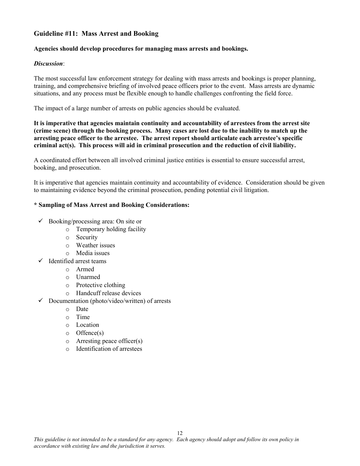### **Guideline #11: Mass Arrest and Booking**

#### **Agencies should develop procedures for managing mass arrests and bookings.**

#### *Discussion*:

The most successful law enforcement strategy for dealing with mass arrests and bookings is proper planning, training, and comprehensive briefing of involved peace officers prior to the event. Mass arrests are dynamic situations, and any process must be flexible enough to handle challenges confronting the field force.

The impact of a large number of arrests on public agencies should be evaluated.

**It is imperative that agencies maintain continuity and accountability of arrestees from the arrest site (crime scene) through the booking process. Many cases are lost due to the inability to match up the arresting peace officer to the arrestee. The arrest report should articulate each arrestee's specific criminal act(s). This process will aid in criminal prosecution and the reduction of civil liability.** 

A coordinated effort between all involved criminal justice entities is essential to ensure successful arrest, booking, and prosecution.

It is imperative that agencies maintain continuity and accountability of evidence. Consideration should be given to maintaining evidence beyond the criminal prosecution, pending potential civil litigation.

#### **\* Sampling of Mass Arrest and Booking Considerations:**

- $\checkmark$  Booking/processing area: On site or
	- o Temporary holding facility
	- o Security
	- o Weather issues
	- o Media issues
- $\checkmark$  Identified arrest teams
	- o Armed
	- o Unarmed
	- o Protective clothing
	- o Handcuff release devices
- $\checkmark$  Documentation (photo/video/written) of arrests
	- o Date
	- o Time
	- o Location
	- o Offence(s)
	- o Arresting peace officer(s)
	- o Identification of arrestees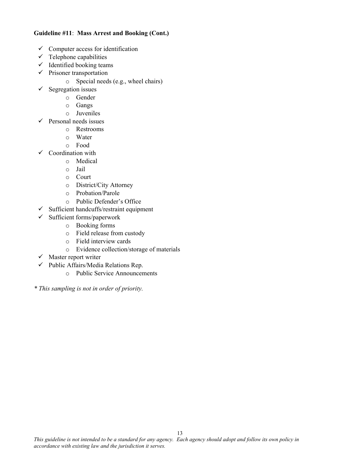#### **Guideline #11**: **Mass Arrest and Booking (Cont.)**

- $\checkmark$  Computer access for identification
- $\checkmark$  Telephone capabilities
- $\checkmark$  Identified booking teams
- $\checkmark$  Prisoner transportation
	- o Special needs (e.g., wheel chairs)
- $\checkmark$  Segregation issues
	- o Gender
	- o Gangs
	- o Juveniles
- $\checkmark$  Personal needs issues
	- o Restrooms
	- o Water
	- o Food
- $\checkmark$  Coordination with
	- o Medical
	- o Jail
	- o Court
	- o District/City Attorney
	- o Probation/Parole
	- o Public Defender's Office
- $\checkmark$  Sufficient handcuffs/restraint equipment
- $\checkmark$  Sufficient forms/paperwork
	- o Booking forms
	- o Field release from custody
	- o Field interview cards
	- o Evidence collection/storage of materials
- $\checkmark$  Master report writer
- $\checkmark$  Public Affairs/Media Relations Rep.
	- o Public Service Announcements
- *\* This sampling is not in order of priority.*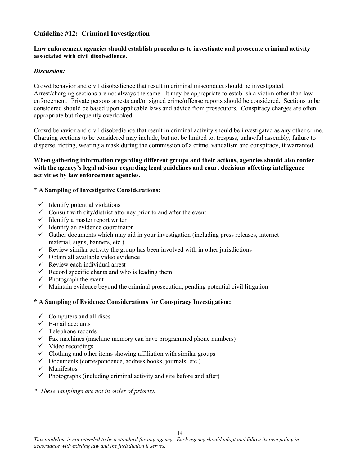#### **Guideline #12: Criminal Investigation**

#### **Law enforcement agencies should establish procedures to investigate and prosecute criminal activity associated with civil disobedience.**

#### *Discussion:*

Crowd behavior and civil disobedience that result in criminal misconduct should be investigated. Arrest/charging sections are not always the same. It may be appropriate to establish a victim other than law enforcement. Private persons arrests and/or signed crime/offense reports should be considered. Sections to be considered should be based upon applicable laws and advice from prosecutors. Conspiracy charges are often appropriate but frequently overlooked.

Crowd behavior and civil disobedience that result in criminal activity should be investigated as any other crime. Charging sections to be considered may include, but not be limited to, trespass, unlawful assembly, failure to disperse, rioting, wearing a mask during the commission of a crime, vandalism and conspiracy, if warranted.

#### **When gathering information regarding different groups and their actions, agencies should also confer with the agency's legal advisor regarding legal guidelines and court decisions affecting intelligence activities by law enforcement agencies.**

#### **\* A Sampling of Investigative Considerations:**

- $\checkmark$  Identify potential violations
- $\checkmark$  Consult with city/district attorney prior to and after the event
- $\checkmark$  Identify a master report writer
- $\checkmark$  Identify an evidence coordinator
- $\checkmark$  Gather documents which may aid in your investigation (including press releases, internet material, signs, banners, etc.)
- $\checkmark$  Review similar activity the group has been involved with in other jurisdictions
- $\checkmark$  Obtain all available video evidence
- $\checkmark$  Review each individual arrest
- $\checkmark$  Record specific chants and who is leading them
- $\checkmark$  Photograph the event
- $\checkmark$  Maintain evidence beyond the criminal prosecution, pending potential civil litigation

#### **\* A Sampling of Evidence Considerations for Conspiracy Investigation:**

- $\checkmark$  Computers and all discs
- $\checkmark$  E-mail accounts
- $\checkmark$  Telephone records
- $\checkmark$  Fax machines (machine memory can have programmed phone numbers)
- $\checkmark$  Video recordings
- $\checkmark$  Clothing and other items showing affiliation with similar groups
- $\checkmark$  Documents (correspondence, address books, journals, etc.)
- $\checkmark$  Manifestos
- $\checkmark$  Photographs (including criminal activity and site before and after)
- *\* These samplings are not in order of priority.*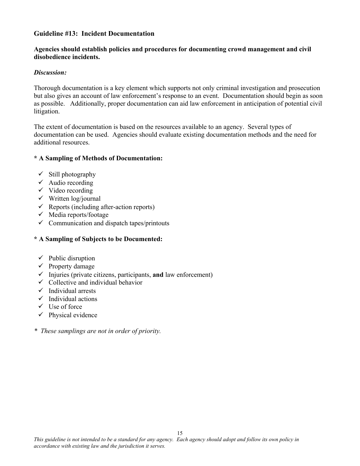#### **Guideline #13: Incident Documentation**

#### **Agencies should establish policies and procedures for documenting crowd management and civil disobedience incidents.**

#### *Discussion:*

Thorough documentation is a key element which supports not only criminal investigation and prosecution but also gives an account of law enforcement's response to an event. Documentation should begin as soon as possible. Additionally, proper documentation can aid law enforcement in anticipation of potential civil litigation.

The extent of documentation is based on the resources available to an agency. Several types of documentation can be used. Agencies should evaluate existing documentation methods and the need for additional resources.

#### **\* A Sampling of Methods of Documentation:**

- $\checkmark$  Still photography
- $\checkmark$  Audio recording
- $\checkmark$  Video recording
- $\checkmark$  Written log/journal
- $\checkmark$  Reports (including after-action reports)
- $\checkmark$  Media reports/footage
- $\checkmark$  Communication and dispatch tapes/printouts

### **\* A Sampling of Subjects to be Documented:**

- $\checkmark$  Public disruption
- $\checkmark$  Property damage
- $\checkmark$  Injuries (private citizens, participants, **and** law enforcement)
- $\checkmark$  Collective and individual behavior
- $\checkmark$  Individual arrests
- $\checkmark$  Individual actions
- $\checkmark$  Use of force
- $\checkmark$  Physical evidence
- *\* These samplings are not in order of priority.*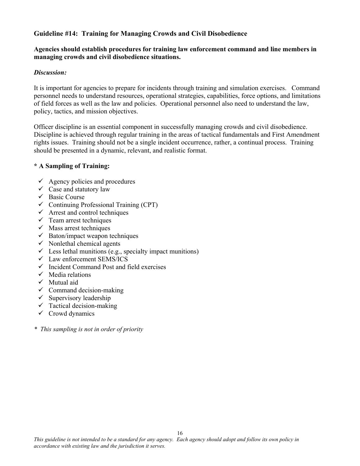### **Guideline #14: Training for Managing Crowds and Civil Disobedience**

#### **Agencies should establish procedures for training law enforcement command and line members in managing crowds and civil disobedience situations.**

#### *Discussion:*

It is important for agencies to prepare for incidents through training and simulation exercises. Command personnel needs to understand resources, operational strategies, capabilities, force options, and limitations of field forces as well as the law and policies. Operational personnel also need to understand the law, policy, tactics, and mission objectives.

Officer discipline is an essential component in successfully managing crowds and civil disobedience. Discipline is achieved through regular training in the areas of tactical fundamentals and First Amendment rights issues. Training should not be a single incident occurrence, rather, a continual process. Training should be presented in a dynamic, relevant, and realistic format.

#### **\* A Sampling of Training:**

- $\checkmark$  Agency policies and procedures
- $\checkmark$  Case and statutory law
- $\checkmark$  Basic Course
- $\checkmark$  Continuing Professional Training (CPT)
- $\checkmark$  Arrest and control techniques
- $\checkmark$  Team arrest techniques
- $\checkmark$  Mass arrest techniques
- $\checkmark$  Baton/impact weapon techniques
- $\checkmark$  Nonlethal chemical agents
- $\checkmark$  Less lethal munitions (e.g., specialty impact munitions)
- $\checkmark$  Law enforcement SEMS/ICS
- $\checkmark$  Incident Command Post and field exercises
- $\checkmark$  Media relations
- $\checkmark$  Mutual aid
- $\checkmark$  Command decision-making
- $\checkmark$  Supervisory leadership
- $\checkmark$  Tactical decision-making
- $\checkmark$  Crowd dynamics

*\* This sampling is not in order of priority*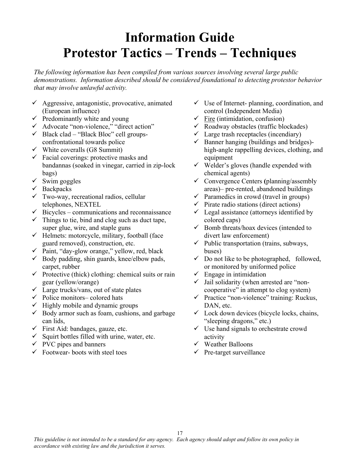# **Information Guide Protestor Tactics – Trends – Techniques**

*The following information has been compiled from various sources involving several large public demonstrations. Information described should be considered foundational to detecting protestor behavior that may involve unlawful activity.* 

- $\checkmark$  Aggressive, antagonistic, provocative, animated (European influence)
- $\checkmark$  Predominantly white and young
- 9 Advocate "non-violence," "direct action"
- $\checkmark$  Black clad "Black Bloc" cell groupsconfrontational towards police
- $\checkmark$  White coveralls (G8 Summit)
- $\checkmark$  Facial coverings: protective masks and bandannas (soaked in vinegar, carried in zip-lock bags)
- $\checkmark$  Swim goggles
- $\checkmark$  Backpacks
- $\checkmark$  Two-way, recreational radios, cellular telephones, NEXTEL
- $\checkmark$  Bicycles communications and reconnaissance
- $\checkmark$  Things to tie, bind and clog such as duct tape, super glue, wire, and staple guns
- $\checkmark$  Helmets: motorcycle, military, football (face guard removed), construction, etc.
- $\checkmark$  Paint, "day-glow orange," yellow, red, black
- $\checkmark$  Body padding, shin guards, knee/elbow pads, carpet, rubber
- $\checkmark$  Protective (thick) clothing: chemical suits or rain gear (yellow/orange)
- $\checkmark$  Large trucks/vans, out of state plates
- $\checkmark$  Police monitors– colored hats
- $\checkmark$  Highly mobile and dynamic groups
- $\checkmark$  Body armor such as foam, cushions, and garbage can lids,
- $\checkmark$  First Aid: bandages, gauze, etc.
- $\checkmark$  Squirt bottles filled with urine, water, etc.
- $\checkmark$  PVC pipes and banners
- $\checkmark$  Footwear- boots with steel toes
- $\checkmark$  Use of Internet- planning, coordination, and control (Independent Media)
- $\checkmark$  Fire (intimidation, confusion)
- $\checkmark$  Roadway obstacles (traffic blockades)
- $\checkmark$  Large trash receptacles (incendiary)
- $\checkmark$  Banner hanging (buildings and bridges)high-angle rappelling devices, clothing, and equipment
- $\checkmark$  Welder's gloves (handle expended with chemical agents)
- 9 Convergence Centers **(**planning/assembly areas)– pre-rented, abandoned buildings
- $\checkmark$  Paramedics in crowd (travel in groups)
- $\checkmark$  Pirate radio stations (direct actions)
- $\checkmark$  Legal assistance (attorneys identified by colored caps)
- $\checkmark$  Bomb threats/hoax devices (intended to divert law enforcement)
- $\checkmark$  Public transportation (trains, subways, buses)
- $\checkmark$  Do not like to be photographed, followed, or monitored by uniformed police
- $\checkmark$  Engage in intimidation
- $\checkmark$  Jail solidarity (when arrested are "noncooperative" in attempt to clog system)
- $\checkmark$  Practice "non-violence" training: Ruckus, DAN, etc.
- $\checkmark$  Lock down devices (bicycle locks, chains, "sleeping dragons," etc.)
- $\checkmark$  Use hand signals to orchestrate crowd activity
- $\checkmark$  Weather Balloons
- $\checkmark$  Pre-target surveillance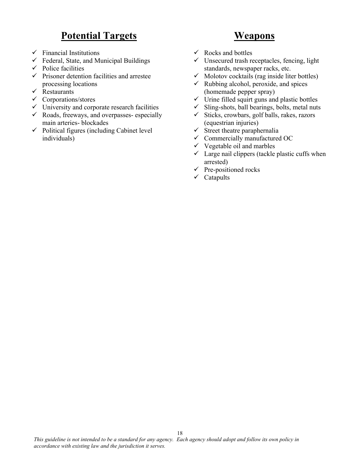# **Potential Targets**

- $\checkmark$  Financial Institutions
- $\checkmark$  Federal, State, and Municipal Buildings
- $\checkmark$  Police facilities
- $\checkmark$  Prisoner detention facilities and arrestee processing locations
- $\checkmark$  Restaurants
- $\checkmark$  Corporations/stores
- $\checkmark$  University and corporate research facilities
- $\checkmark$  Roads, freeways, and overpasses- especially main arteries- blockades
- $\checkmark$  Political figures (including Cabinet level) individuals)

# **Weapons**

- $\checkmark$  Rocks and bottles
- $\checkmark$  Unsecured trash receptacles, fencing, light standards, newspaper racks, etc.
- $\checkmark$  Molotov cocktails (rag inside liter bottles)
- $\checkmark$  Rubbing alcohol, peroxide, and spices (homemade pepper spray)
- $\checkmark$  Urine filled squirt guns and plastic bottles
- $\checkmark$  Sling-shots, ball bearings, bolts, metal nuts
- $\checkmark$  Sticks, crowbars, golf balls, rakes, razors (equestrian injuries)
- $\checkmark$  Street theatre paraphernalia
- $\checkmark$  Commercially manufactured OC
- $\checkmark$  Vegetable oil and marbles
- $\checkmark$  Large nail clippers (tackle plastic cuffs when arrested)
- $\checkmark$  Pre-positioned rocks
- $\checkmark$  Catapults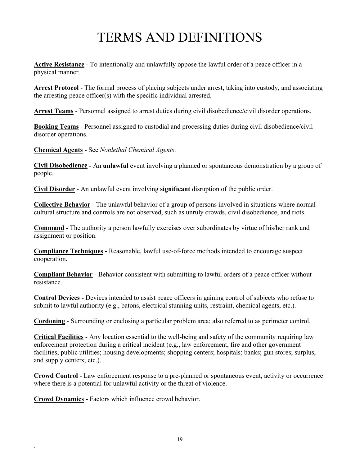# TERMS AND DEFINITIONS

**Active Resistance** - To intentionally and unlawfully oppose the lawful order of a peace officer in a physical manner.

**Arrest Protocol** - The formal process of placing subjects under arrest, taking into custody, and associating the arresting peace officer(s) with the specific individual arrested.

**Arrest Teams** - Personnel assigned to arrest duties during civil disobedience/civil disorder operations.

**Booking Teams** - Personnel assigned to custodial and processing duties during civil disobedience/civil disorder operations.

**Chemical Agents** - See *Nonlethal Chemical Agents*.

**Civil Disobedience** - An **unlawful** event involving a planned or spontaneous demonstration by a group of people.

**Civil Disorder** - An unlawful event involving **significant** disruption of the public order.

**Collective Behavior** - The unlawful behavior of a group of persons involved in situations where normal cultural structure and controls are not observed, such as unruly crowds, civil disobedience, and riots.

**Command** - The authority a person lawfully exercises over subordinates by virtue of his/her rank and assignment or position.

**Compliance Techniques -** Reasonable, lawful use-of-force methods intended to encourage suspect cooperation.

**Compliant Behavior** - Behavior consistent with submitting to lawful orders of a peace officer without resistance.

**Control Devices -** Devices intended to assist peace officers in gaining control of subjects who refuse to submit to lawful authority (e.g., batons, electrical stunning units, restraint, chemical agents, etc.).

**Cordoning** - Surrounding or enclosing a particular problem area; also referred to as perimeter control.

**Critical Facilities** - Any location essential to the well-being and safety of the community requiring law enforcement protection during a critical incident (e.g., law enforcement, fire and other government facilities; public utilities; housing developments; shopping centers; hospitals; banks; gun stores; surplus, and supply centers; etc.).

**Crowd Control** - Law enforcement response to a pre-planned or spontaneous event, activity or occurrence where there is a potential for unlawful activity or the threat of violence.

**Crowd Dynamics -** Factors which influence crowd behavior.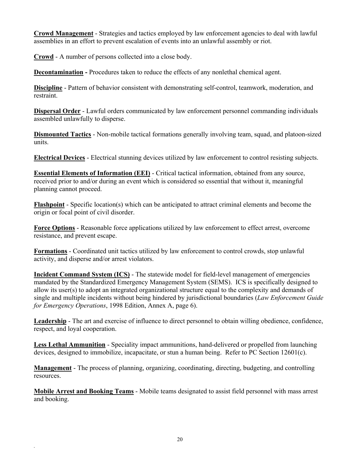**Crowd Management** - Strategies and tactics employed by law enforcement agencies to deal with lawful assemblies in an effort to prevent escalation of events into an unlawful assembly or riot.

**Crowd** - A number of persons collected into a close body.

**Decontamination -** Procedures taken to reduce the effects of any nonlethal chemical agent.

**Discipline** - Pattern of behavior consistent with demonstrating self-control, teamwork, moderation, and restraint.

**Dispersal Order** - Lawful orders communicated by law enforcement personnel commanding individuals assembled unlawfully to disperse.

**Dismounted Tactics** - Non-mobile tactical formations generally involving team, squad, and platoon-sized units.

**Electrical Devices** - Electrical stunning devices utilized by law enforcement to control resisting subjects.

**Essential Elements of Information (EEI)** - Critical tactical information, obtained from any source, received prior to and/or during an event which is considered so essential that without it, meaningful planning cannot proceed.

**Flashpoint** - Specific location(s) which can be anticipated to attract criminal elements and become the origin or focal point of civil disorder.

**Force Options** - Reasonable force applications utilized by law enforcement to effect arrest, overcome resistance, and prevent escape.

**Formations** - Coordinated unit tactics utilized by law enforcement to control crowds, stop unlawful activity, and disperse and/or arrest violators.

**Incident Command System (ICS)** - The statewide model for field-level management of emergencies mandated by the Standardized Emergency Management System (SEMS). ICS is specifically designed to allow its user(s) to adopt an integrated organizational structure equal to the complexity and demands of single and multiple incidents without being hindered by jurisdictional boundaries (*Law Enforcement Guide for Emergency Operations*, 1998 Edition, Annex A, page 6).

**Leadership** - The art and exercise of influence to direct personnel to obtain willing obedience, confidence, respect, and loyal cooperation.

**Less Lethal Ammunition** - Speciality impact ammunitions, hand-delivered or propelled from launching devices, designed to immobilize, incapacitate, or stun a human being. Refer to PC Section 12601(c).

**Management** - The process of planning, organizing, coordinating, directing, budgeting, and controlling resources.

**Mobile Arrest and Booking Teams** - Mobile teams designated to assist field personnel with mass arrest and booking.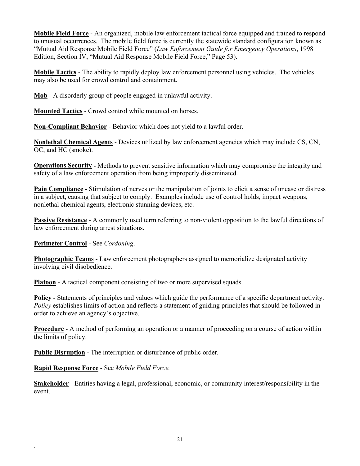**Mobile Field Force** - An organized, mobile law enforcement tactical force equipped and trained to respond to unusual occurrences. The mobile field force is currently the statewide standard configuration known as "Mutual Aid Response Mobile Field Force" (*Law Enforcement Guide for Emergency Operations*, 1998 Edition, Section IV, "Mutual Aid Response Mobile Field Force," Page 53).

**Mobile Tactics** - The ability to rapidly deploy law enforcement personnel using vehicles. The vehicles may also be used for crowd control and containment.

**Mob** - A disorderly group of people engaged in unlawful activity.

**Mounted Tactics** - Crowd control while mounted on horses.

**Non-Compliant Behavior** - Behavior which does not yield to a lawful order.

**Nonlethal Chemical Agents** - Devices utilized by law enforcement agencies which may include CS, CN, OC, and HC (smoke).

**Operations Security** - Methods to prevent sensitive information which may compromise the integrity and safety of a law enforcement operation from being improperly disseminated.

**Pain Compliance -** Stimulation of nerves or the manipulation of joints to elicit a sense of unease or distress in a subject, causing that subject to comply. Examples include use of control holds, impact weapons, nonlethal chemical agents, electronic stunning devices, etc.

**Passive Resistance** - A commonly used term referring to non-violent opposition to the lawful directions of law enforcement during arrest situations.

**Perimeter Control** - See *Cordoning*.

**Photographic Teams** - Law enforcement photographers assigned to memorialize designated activity involving civil disobedience.

**Platoon** - A tactical component consisting of two or more supervised squads.

**Policy** - Statements of principles and values which guide the performance of a specific department activity. *Policy* establishes limits of action and reflects a statement of guiding principles that should be followed in order to achieve an agency's objective.

**Procedure** - A method of performing an operation or a manner of proceeding on a course of action within the limits of policy.

**Public Disruption -** The interruption or disturbance of public order.

**Rapid Response Force** - See *Mobile Field Force.*

*.* 

**Stakeholder** - Entities having a legal, professional, economic, or community interest/responsibility in the event.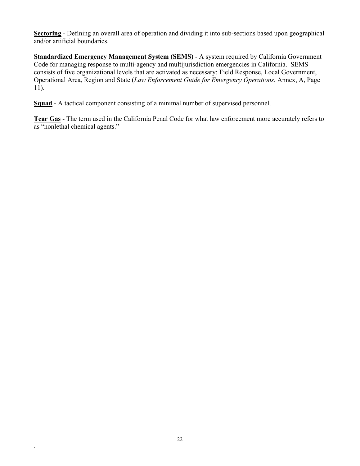**Sectoring** - Defining an overall area of operation and dividing it into sub-sections based upon geographical and/or artificial boundaries.

**Standardized Emergency Management System (SEMS)** - A system required by California Government Code for managing response to multi-agency and multijurisdiction emergencies in California. SEMS consists of five organizational levels that are activated as necessary: Field Response, Local Government, Operational Area, Region and State (*Law Enforcement Guide for Emergency Operations*, Annex, A, Page 11).

**Squad** - A tactical component consisting of a minimal number of supervised personnel.

**Tear Gas** - The term used in the California Penal Code for what law enforcement more accurately refers to as "nonlethal chemical agents."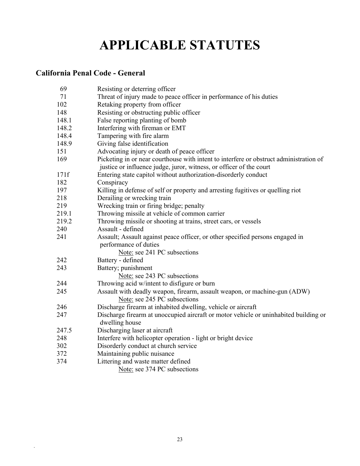# **APPLICABLE STATUTES**

# **California Penal Code - General**

| 69    | Resisting or deterring officer                                                         |
|-------|----------------------------------------------------------------------------------------|
| 71    | Threat of injury made to peace officer in performance of his duties                    |
| 102   | Retaking property from officer                                                         |
| 148   | Resisting or obstructing public officer                                                |
| 148.1 | False reporting planting of bomb                                                       |
| 148.2 | Interfering with fireman or EMT                                                        |
| 148.4 | Tampering with fire alarm                                                              |
| 148.9 | Giving false identification                                                            |
| 151   | Advocating injury or death of peace officer                                            |
| 169   | Picketing in or near courthouse with intent to interfere or obstruct administration of |
|       | justice or influence judge, juror, witness, or officer of the court                    |
| 171f  | Entering state capitol without authorization-disorderly conduct                        |
| 182   | Conspiracy                                                                             |
| 197   | Killing in defense of self or property and arresting fugitives or quelling riot        |
| 218   | Derailing or wrecking train                                                            |
| 219   | Wrecking train or firing bridge; penalty                                               |
| 219.1 | Throwing missile at vehicle of common carrier                                          |
| 219.2 | Throwing missile or shooting at trains, street cars, or vessels                        |
| 240   | Assault - defined                                                                      |
| 241   | Assault; Assault against peace officer, or other specified persons engaged in          |
|       | performance of duties                                                                  |
|       | Note: see 241 PC subsections                                                           |
| 242   | Battery - defined                                                                      |
| 243   | Battery; punishment                                                                    |
|       | Note: see 243 PC subsections                                                           |
| 244   | Throwing acid w/intent to disfigure or burn                                            |
| 245   | Assault with deadly weapon, firearm, assault weapon, or machine-gun (ADW)              |
|       | Note: see 245 PC subsections                                                           |
| 246   | Discharge firearm at inhabited dwelling, vehicle or aircraft                           |
| 247   | Discharge firearm at unoccupied aircraft or motor vehicle or uninhabited building or   |
|       | dwelling house                                                                         |
| 247.5 | Discharging laser at aircraft                                                          |
| 248   | Interfere with helicopter operation - light or bright device                           |
| 302   | Disorderly conduct at church service                                                   |
| 372   | Maintaining public nuisance                                                            |
| 374   | Littering and waste matter defined                                                     |
|       | Note: see 374 PC subsections                                                           |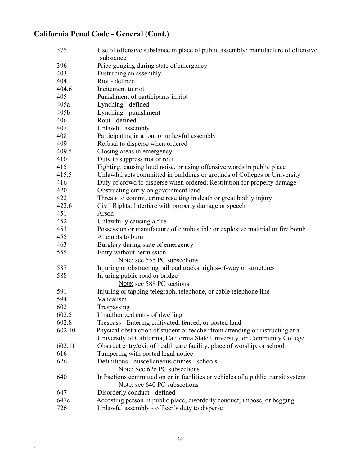# **California Penal Code - General (Cont.)**

| 375        | Use of offensive substance in place of public assembly; manufacture of offensive<br>substance |
|------------|-----------------------------------------------------------------------------------------------|
| 396        |                                                                                               |
| 403        | Price gouging during state of emergency<br>Disturbing an assembly                             |
| 404        | Riot - defined                                                                                |
| 404.6      | Incitement to riot                                                                            |
| 405        |                                                                                               |
| 405a       | Punishment of participants in riot                                                            |
|            | Lynching - defined                                                                            |
| 405b       | Lynching - punishment<br>Rout - defined                                                       |
| 406        |                                                                                               |
| 407<br>408 | Unlawful assembly                                                                             |
|            | Participating in a rout or unlawful assembly                                                  |
| 409        | Refusal to disperse when ordered                                                              |
| 409.5      | Closing areas in emergency                                                                    |
| 410        | Duty to suppress riot or rout                                                                 |
| 415        | Fighting, causing loud noise, or using offensive words in public place                        |
| 415.5      | Unlawful acts committed in buildings or grounds of Colleges or University                     |
| 416        | Duty of crowd to disperse when ordered; Restitution for property damage                       |
| 420        | Obstructing entry on government land                                                          |
| 422        | Threats to commit crime resulting in death or great bodily injury                             |
| 422.6      | Civil Rights; Interfere with property damage or speech                                        |
| 451        | Arson                                                                                         |
| 452        | Unlawfully causing a fire                                                                     |
| 453        | Possession or manufacture of combustible or explosive material or fire bomb                   |
| 455        | Attempts to burn                                                                              |
| 463        | Burglary during state of emergency                                                            |
| 555        | Entry without permission                                                                      |
|            | Note: see 555 PC subsections                                                                  |
| 587        | Injuring or obstructing railroad tracks, rights-of-way or structures                          |
| 588        | Injuring public road or bridge                                                                |
|            | Note: see 588 PC sections                                                                     |
| 591        | Injuring or tapping telegraph, telephone, or cable telephone line                             |
| 594        | Vandalism                                                                                     |
| 602        | Trespassing                                                                                   |
| 602.5      | Unauthorized entry of dwelling                                                                |
| 602.8      | Trespass - Entering cultivated, fenced, or posted land                                        |
| 602.10     | Physical obstruction of student or teacher from attending or instructing at a                 |
|            | University of California, California State University, or Community College                   |
| 602.11     | Obstruct entry/exit of health care facility, place of worship, or school                      |
| 616        | Tampering with posted legal notice                                                            |
| 626        | Definitions - miscellaneous crimes - schools                                                  |
|            | Note: See 626 PC subsections                                                                  |
| 640        | Infractions committed on or in facilities or vehicles of a public transit system              |
|            | Note: see 640 PC subsections                                                                  |
| 647        | Disorderly conduct - defined                                                                  |
| 647c       | Accosting person in public place, disorderly conduct, impose, or begging                      |
| 726        | Unlawful assembly - officer's duty to disperse                                                |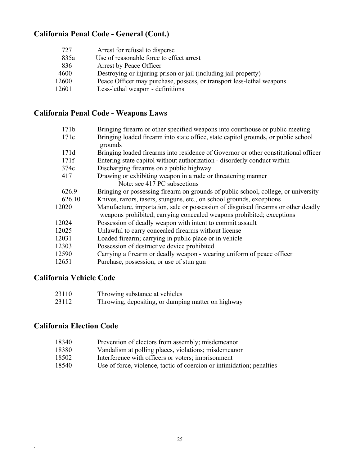## **California Penal Code - General (Cont.)**

| 727   | Arrest for refusal to disperse                                        |
|-------|-----------------------------------------------------------------------|
| 835a  | Use of reasonable force to effect arrest                              |
| 836   | Arrest by Peace Officer                                               |
| 4600  | Destroying or injuring prison or jail (including jail property)       |
| 12600 | Peace Officer may purchase, possess, or transport less-lethal weapons |
| 12601 | Less-lethal weapon - definitions                                      |

## **California Penal Code - Weapons Laws**

| 171b   | Bringing firearm or other specified weapons into courthouse or public meeting                                                                               |
|--------|-------------------------------------------------------------------------------------------------------------------------------------------------------------|
| 171c   | Bringing loaded firearm into state office, state capitol grounds, or public school<br>grounds                                                               |
| 171d   | Bringing loaded firearms into residence of Governor or other constitutional officer                                                                         |
| 171f   | Entering state capitol without authorization - disorderly conduct within                                                                                    |
| 374c   | Discharging firearms on a public highway                                                                                                                    |
| 417    | Drawing or exhibiting weapon in a rude or threatening manner                                                                                                |
|        | Note: see 417 PC subsections                                                                                                                                |
| 626.9  | Bringing or possessing firearm on grounds of public school, college, or university                                                                          |
| 626.10 | Knives, razors, tasers, stunguns, etc., on school grounds, exceptions                                                                                       |
| 12020  | Manufacture, importation, sale or possession of disguised firearms or other deadly<br>weapons prohibited; carrying concealed weapons prohibited; exceptions |
| 12024  | Possession of deadly weapon with intent to commit assault                                                                                                   |
| 12025  | Unlawful to carry concealed firearms without license                                                                                                        |
| 12031  | Loaded firearm; carrying in public place or in vehicle                                                                                                      |
| 12303  | Possession of destructive device prohibited                                                                                                                 |
| 12590  | Carrying a firearm or deadly weapon - wearing uniform of peace officer                                                                                      |
| 12651  | Purchase, possession, or use of stun gun                                                                                                                    |
|        |                                                                                                                                                             |

## **California Vehicle Code**

| 23110 | Throwing substance at vehicles                     |
|-------|----------------------------------------------------|
| 23112 | Throwing, depositing, or dumping matter on highway |

## **California Election Code**

- 18340 Prevention of electors from assembly; misdemeanor
- 18380 Vandalism at polling places, violations; misdemeanor
- 18502 Interference with officers or voters; imprisonment
- 18540 Use of force, violence, tactic of coercion or intimidation; penalties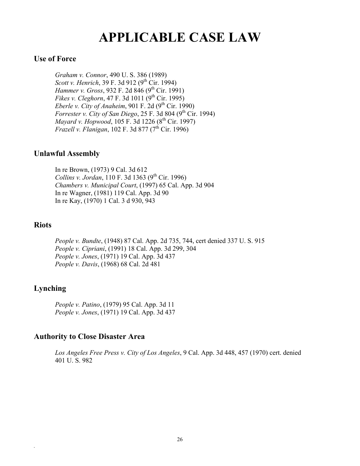# **APPLICABLE CASE LAW**

#### **Use of Force**

 *Graham v. Connor*, 490 U. S. 386 (1989) *Scott v. Henrich*, 39 F. 3d 912 (9<sup>th</sup> Cir. 1994) *Hammer v. Gross*, 932 F. 2d 846 (9<sup>th</sup> Cir. 1991) *Fikes v. Cleghorn*, 47 F. 3d 1011 (9<sup>th</sup> Cir. 1995) *Eberle v. City of Anaheim*, 901 F. 2d  $(9^{th}$  Cir. 1990) *Forrester v. City of San Diego*, 25 F. 3d 804 (9<sup>th</sup> Cir. 1994) *Mayard v. Hopwood*, 105 F. 3d 1226 (8<sup>th</sup> Cir. 1997) *Frazell v. Flanigan*, 102 F. 3d 877 (7<sup>th</sup> Cir. 1996)

### **Unlawful Assembly**

 In re Brown, (1973) 9 Cal. 3d 612 *Collins v. Jordan*, 110 F. 3d 1363 (9<sup>th</sup> Cir. 1996)  *Chambers v. Municipal Court*, (1997) 65 Cal. App. 3d 904 In re Wagner, (1981) 119 Cal. App. 3d 90 In re Kay, (1970) 1 Cal. 3 d 930, 943

### **Riots**

*People v. Bundte*, (1948) 87 Cal. App. 2d 735, 744, cert denied 337 U. S. 915 *People v. Cipriani*, (1991) 18 Cal. App. 3d 299, 304 *People v. Jones*, (1971) 19 Cal. App. 3d 437 *People v. Davis*, (1968) 68 Cal. 2d 481

## **Lynching**

*.* 

*People v. Patino*, (1979) 95 Cal. App. 3d 11 *People v. Jones*, (1971) 19 Cal. App. 3d 437

### **Authority to Close Disaster Area**

*Los Angeles Free Press v. City of Los Angeles*, 9 Cal. App. 3d 448, 457 (1970) cert. denied 401 U. S. 982